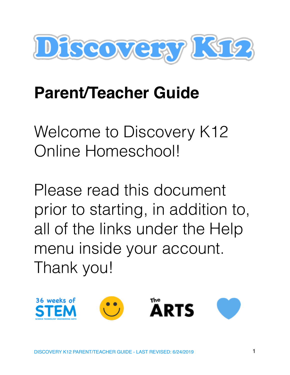

# **Parent/Teacher Guide**

Welcome to Discovery K12 Online Homeschool!

Please read this document prior to starting, in addition to, all of the links under the Help menu inside your account. Thank you!

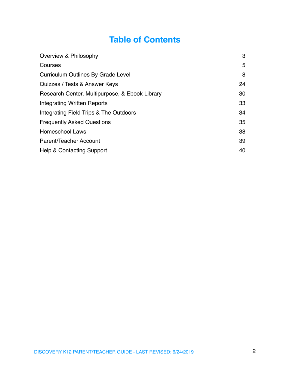# **Table of Contents**

| Overview & Philosophy                          | 3  |
|------------------------------------------------|----|
| Courses                                        | 5  |
| <b>Curriculum Outlines By Grade Level</b>      | 8  |
| Quizzes / Tests & Answer Keys                  | 24 |
| Research Center, Multipurpose, & Ebook Library | 30 |
| Integrating Written Reports                    | 33 |
| Integrating Field Trips & The Outdoors         | 34 |
| <b>Frequently Asked Questions</b>              | 35 |
| <b>Homeschool Laws</b>                         | 38 |
| Parent/Teacher Account                         | 39 |
| <b>Help &amp; Contacting Support</b>           | 40 |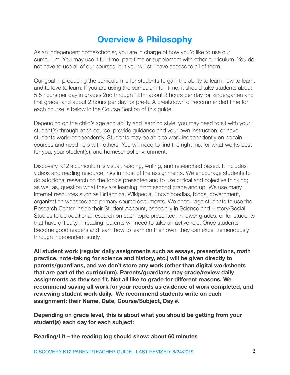# <span id="page-2-0"></span>**Overview & Philosophy**

As an independent homeschooler, you are in charge of how you'd like to use our curriculum. You may use it full-time, part-time or supplement with other curriculum. You do not have to use all of our courses, but you will still have access to all of them.

Our goal in producing the curriculum is for students to gain the ability to learn how to learn, and to love to learn. If you are using the curriculum full-time, it should take students about 5.5 hours per day in grades 2nd through 12th; about 3 hours per day for kindergarten and first grade, and about 2 hours per day for pre-k. A breakdown of recommended time for each course is below in the Course Section of this guide.

Depending on the child's age and ability and learning style, you may need to sit with your student(s) through each course, provide guidance and your own instruction; or have students work independently. Students may be able to work independently on certain courses and need help with others. You will need to find the right mix for what works best for you, your student(s), and homeschool environment.

Discovery K12's curriculum is visual, reading, writing, and researched based. It includes videos and reading resource links in most of the assignments. We encourage students to do additional research on the topics presented and to use critical and objective thinking; as well as, question what they are learning, from second grade and up. We use many Internet resources such as Britannica, Wikipedia, Encyclopedias, blogs, government, organization websites and primary source documents. We encourage students to use the Research Center inside their Student Account, especially in Science and History/Social Studies to do additional research on each topic presented. In lower grades, or for students that have difficulty in reading, parents will need to take an active role. Once students become good readers and learn how to learn on their own, they can excel tremendously through independent study.

**All student work (regular daily assignments such as essays, presentations, math practice, note-taking for science and history, etc.) will be given directly to parents/guardians, and we don't store any work (other than digital worksheets that are part of the curriculum). Parents/guardians may grade/review daily assignments as they see fit. Not all like to grade for different reasons. We recommend saving all work for your records as evidence of work completed, and reviewing student work daily. We recommend students write on each assignment: their Name, Date, Course/Subject, Day #.** 

**Depending on grade level, this is about what you should be getting from your student(s) each day for each subject:** 

**Reading/Lit – the reading log should show: about 60 minutes**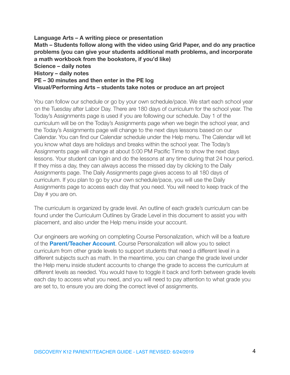**Language Arts – A writing piece or presentation Math – Students follow along with the video using Grid Paper, and do any practice problems (you can give your students additional math problems, and incorporate a math workbook from the bookstore, if you'd like) Science – daily notes History – daily notes PE – 30 minutes and then enter in the PE log Visual/Performing Arts – students take notes or produce an art project** 

You can follow our schedule or go by your own schedule/pace. We start each school year on the Tuesday after Labor Day. There are 180 days of curriculum for the school year. The Today's Assignments page is used if you are following our schedule. Day 1 of the curriculum will be on the Today's Assignments page when we begin the school year, and the Today's Assignments page will change to the next days lessons based on our Calendar. You can find our Calendar schedule under the Help menu. The Calendar will let you know what days are holidays and breaks within the school year. The Today's Assignments page will change at about 5:00 PM Pacific Time to show the next days lessons. Your student can login and do the lessons at any time during that 24 hour period. If they miss a day, they can always access the missed day by clicking to the Daily Assignments page. The Daily Assignments page gives access to all 180 days of curriculum. If you plan to go by your own schedule/pace, you will use the Daily Assignments page to access each day that you need. You will need to keep track of the Day # you are on.

The curriculum is organized by grade level. An outline of each grade's curriculum can be found under the Curriculum Outlines by Grade Level in this document to assist you with placement, and also under the Help menu inside your account.

Our engineers are working on completing Course Personalization, which will be a feature of the **[Parent/Teacher Account](http://discoveryk12.com/dk12/parentteacher-account/)**. Course Personalization will allow you to select curriculum from other grade levels to support students that need a different level in a different subjects such as math. In the meantime, you can change the grade level under the Help menu inside student accounts to change the grade to access the curriculum at different levels as needed. You would have to toggle it back and forth between grade levels each day to access what you need, and you will need to pay attention to what grade you are set to, to ensure you are doing the correct level of assignments.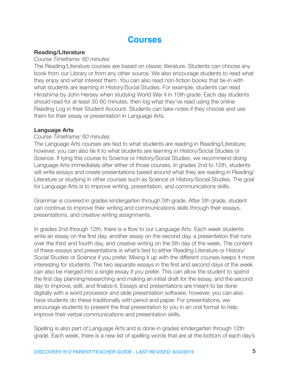# <span id="page-4-0"></span>**Courses**

## **Reading/Literature**

### *Course Timeframe: 60 minutes*

The Reading/Literature courses are based on classic literature. Students can choose any book from our Library or from any other source. We also encourage students to read what they enjoy and what interest them. You can also read non-fiction books that tie-in with what students are learning in History/Social Studies. For example, students can read Hiroshima by John Hersey when studying World War II in 10th grade. Each day students should read for at least 30-60 minutes, then log what they've read using the online Reading Log in their Student Account. Students can take notes if they choose and use them for their essay or presentation in Language Arts.

## **Language Arts**

## *Course Timeframe: 60 minutes*

The Language Arts courses are tied to what students are reading in Reading/Literature; however, you can also tie it to what students are learning in History/Social Studies or Science. If tying this course to Science or History/Social Studies, we recommend doing Language Arts immediately after either of those courses. In grades 2nd to 12th, students will write essays and create presentations based around what they are reading in Reading/ Literature or studying in other courses such as Science or History/Social Studies. The goal for Language Arts is to improve writing, presentation, and communications skills.

Grammar is covered in grades kindergarten through 5th grade. After 5th grade, student can continue to improve their writing and communications skills through their essays, presentations, and creative writing assignments.

In grades 2nd through 12th, there is a flow to our Language Arts. Each week students write an essay on the first day, another essay on the second day, a presentation that runs over the third and fourth day, and creative writing on the 5th day of the week. The content of these essays and presentations is what's tied to either Reading Literature or History/ Social Studies or Science if you prefer. Mixing it up with the different courses keeps it more interesting for students. The two separate essays in the first and second days of the week can also be merged into a single essay if you prefer. This can allow the student to spend the first day planning/researching and making an initial draft for the essay, and the second day to improve, edit, and finalize it. Essays and presentations are meant to be done digitally with a word processor and slide presentation software; however, you can also have students do these traditionally with pencil and paper. For presentations, we encourage students to present the final presentation to you in an oral format to help improve their verbal communications and presentation skills.

Spelling is also part of Language Arts and is done in grades kindergarten through 12th grade. Each week, there is a new list of spelling words that are at the bottom of each day's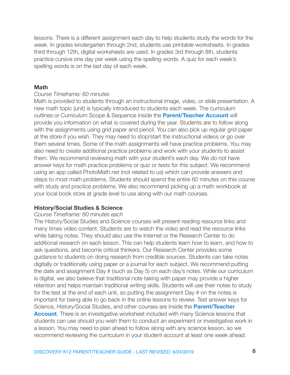lessons. There is a different assignment each day to help students study the words for the week. In grades kindergarten through 2nd, students use printable worksheets. In grades third through 12th, digital worksheets are used. In grades 3rd through 8th, students practice cursive one day per week using the spelling words. A quiz for each week's spelling words is on the last day of each week.

#### **Math**

#### *Course Timeframe: 60 minutes*

Math is provided to students through an instructional image, video, or slide presentation. A new math topic (unit) is typically introduced to students each week. The curriculum outlines or Curriculum Scope & Sequence inside the **[Parent/Teacher Account](http://discoveryk12.com/dk12/parentteacher-account/)** will provide you information on what is covered during the year. Students are to follow along with the assignments using grid paper and pencil. You can also pick up regular grid paper at the store if you wish. They may need to stop/start the instructional videos or go over them several times. Some of the math assignments will have practice problems. You may also need to create additional practice problems and work with your students to assist them. We recommend reviewing math with your student's each day. We do not have answer keys for math practice problems or quiz or tests for this subject. We recommend using an app called PhotoMath.net (not related to us) which can provide answers and steps to most math problems. Students should spend the entire 60 minutes on this course with study and practice problems. We also recommend picking up a math workbook at your local book store at grade level to use along with our math courses.

#### **History/Social Studies & Science**

#### *Course Timeframe: 60 minutes each*

The History/Social Studies and Science courses will present reading resource links and many times video content. Students are to watch the video and read the resource links while taking notes. They should also use the Internet or the Research Center to do additional research on each lesson. This can help students learn how to learn, and how to ask questions, and become critical thinkers. Our Research Center provides some guidance to students on doing research from credible sources. Students can take notes digitally or traditionally using paper or a journal for each subject. We recommend putting the date and assignment Day # (such as Day 5) on each day's notes. While our curriculum is digital, we also believe that traditional note taking with paper may provide a higher retention and helps maintain traditional writing skills. Students will use their notes to study for the test at the end of each unit, so putting the assignment Day # on the notes is important for being able to go back in the online lessons to review. Test answer keys for Science, History/Social Studies, and other courses are inside the **[Parent/Teacher](http://discoveryk12.com/dk12/parentteacher-account/)  [Account](http://discoveryk12.com/dk12/parentteacher-account/).** There is an investigative worksheet included with many Science lessons that students can use should you wish them to conduct an experiment or investigative work in a lesson. You may need to plan ahead to follow along with any science lesson, so we recommend reviewing the curriculum in your student account at least one week ahead.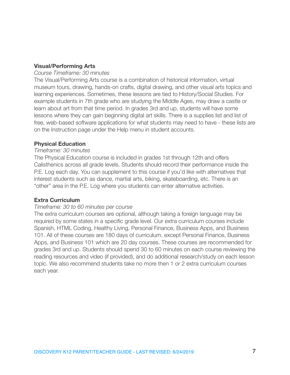## **Visual/Performing Arts**

### *Course Timeframe: 30 minutes*

The Visual/Performing Arts course is a combination of historical information, virtual museum tours, drawing, hands-on crafts, digital drawing, and other visual arts topics and learning experiences. Sometimes, these lessons are tied to History/Social Studies. For example students in 7th grade who are studying the Middle Ages, may draw a castle or learn about art from that time period. In grades 3rd and up, students will have some lessons where they can gain beginning digital art skills. There is a supplies list and list of free, web-based software applications for what students may need to have - these lists are on the Instruction page under the Help menu in student accounts.

## **Physical Education**

### *Timeframe: 30 minutes*

The Physical Education course is included in grades 1st through 12th and offers Calisthenics across all grade levels. Students should record their performance inside the P.E. Log each day. You can supplement to this course if you'd like with alternatives that interest students such as dance, martial arts, biking, skateboarding, etc. There is an "other" area in the P.E. Log where you students can enter alternative activities.

## **Extra Curriculum**

## *Timeframe: 30 to 60 minutes per course*

The extra curriculum courses are optional, although taking a foreign language may be required by some states in a specific grade level. Our extra curriculum courses include Spanish, HTML Coding, Healthy Living, Personal Finance, Business Apps, and Business 101. All of these courses are 180 days of curriculum, except Personal Finance, Business Apps, and Business 101 which are 20 day courses. These courses are recommended for grades 3rd and up. Students should spend 30 to 60 minutes on each course reviewing the reading resources and video (if provided), and do additional research/study on each lesson topic. We also recommend students take no more then 1 or 2 extra curriculum courses each year.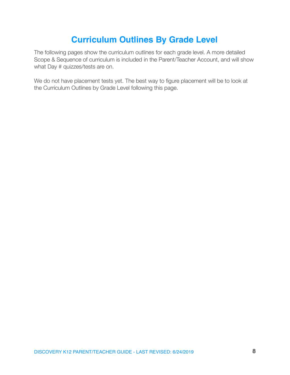# <span id="page-7-0"></span>**Curriculum Outlines By Grade Level**

The following pages show the curriculum outlines for each grade level. A more detailed Scope & Sequence of curriculum is included in the Parent/Teacher Account, and will show what Day # quizzes/tests are on.

We do not have placement tests yet. The best way to figure placement will be to look at the Curriculum Outlines by Grade Level following this page.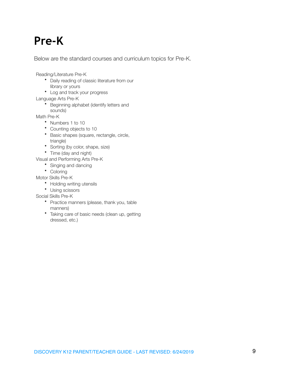# **Pre-K**

Below are the standard courses and curriculum topics for Pre-K.

Reading/Literature Pre-K

- Daily reading of classic literature from our library or yours
- Log and track your progress

Language Arts Pre-K

• Beginning alphabet (identify letters and sounds)

Math Pre-K

- Numbers 1 to 10
- Counting objects to 10
- Basic shapes (square, rectangle, circle, triangle)
- Sorting (by color, shape, size)
- Time (day and night)

Visual and Performing Arts Pre-K

- Singing and dancing
- Coloring

Motor Skills Pre-K

- Holding writing utensils
- Using scissors

Social Skills Pre-K

- Practice manners (please, thank you, table manners)
- Taking care of basic needs (clean up, getting dressed, etc.)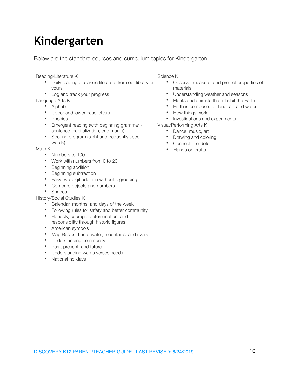# **Kindergarten**

Below are the standard courses and curriculum topics for Kindergarten.

Reading/Literature K

- Daily reading of classic literature from our library or yours
- Log and track your progress

Language Arts K

- Alphabet
- Upper and lower case letters
- Phonics
- Emergent reading (with beginning grammar sentence, capitalization, end marks)
- Spelling program (sight and frequently used words)

Math K

- Numbers to 100
- Work with numbers from 0 to 20
- Beginning addition
- Beginning subtraction
- Easy two-digit addition without regrouping
- Compare objects and numbers
- Shapes

History/Social Studies K

- Calendar, months, and days of the week
- Following rules for safety and better community
- Honesty, courage, determination, and responsibility through historic figures
- American symbols
- Map Basics: Land, water, mountains, and rivers
- Understanding community
- Past, present, and future
- Understanding wants verses needs
- National holidays

Science K

- Observe, measure, and predict properties of materials
- Understanding weather and seasons
- Plants and animals that inhabit the Earth
- Earth is composed of land, air, and water
- How things work
- Investigations and experiments

Visual/Performing Arts K

- Dance, music, art
- Drawing and coloring
- Connect-the-dots
- Hands on crafts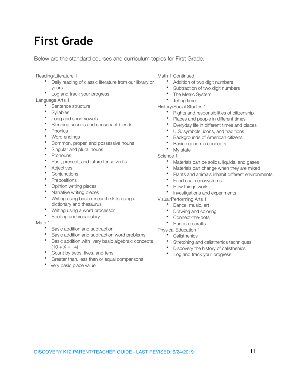# **First Grade**

Below are the standard courses and curriculum topics for First Grade.

Reading/Literature 1

- Daily reading of classic literature from our library or yours
- Log and track your progress

Language Arts 1

- Sentence structure
- **Syllables**
- Long and short vowels
- Blending sounds and consonant blends
- **Phonics**
- Word endings
- Common, proper, and possessive nouns
- Singular and plural nouns
- **Pronouns**
- Past, present, and future tense verbs
- Adjectives
- **Conjunctions**
- **Prepositions**
- Opinion writing pieces
- Narrative writing pieces
- Writing using basic research skills using a dictionary and thesaurus
- Writing using a word processor
- Spelling and vocabulary

#### Math 1

- Basic addition and subtraction
- Basic addition and subtraction word problems
- Basic addition with very basic algebraic concepts  $(10 + X = 14)$
- Count by twos, fives, and tens
- Greater than, less than or equal comparisons
- Very basic place value
- Math 1 Continued
	- Addition of two digit numbers
	- Subtraction of two digit numbers
	- The Metric System
	- Telling time

History/Social Studies 1

- Rights and responsibilities of citizenship
- Places and people in different times
- Everyday life in different times and places
- U.S. symbols, icons, and traditions
- Backgrounds of American citizens
- Basic economic concepts
- My state

Science 1

- Materials can be solids, liquids, and gases
- Materials can change when they are mixed
- Plants and animals inhabit different environments
- Food chain ecosystems
- How things work
- Investigations and experiments
- Visual/Performing Arts 1
	- Dance, music, art
	- Drawing and coloring
	- Connect-the-dots
	- Hands on crafts

- **Calisthenics**
- Stretching and calisthenics techniques
- Discovery the history of calisthenics
- Log and track your progress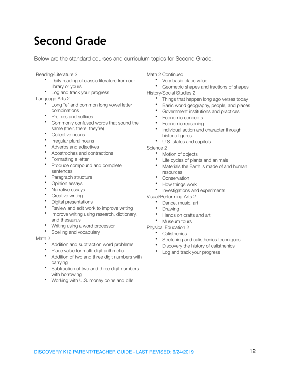# **Second Grade**

Below are the standard courses and curriculum topics for Second Grade.

Reading/Literature 2

- Daily reading of classic literature from our library or yours
- Log and track your progress

Language Arts 2

- Long "e" and common long vowel letter combinations
- Prefixes and suffixes
- Commonly confused words that sound the same (their, there, they're)
- Collective nouns
- Irregular plural nouns
- Adverbs and adjectives
- Apostrophes and contractions
- Formatting a letter
- Produce compound and complete sentences
- Paragraph structure
- Opinion essays
- Narrative essays
- Creative writing
- Digital presentations
- Review and edit work to improve writing
- Improve writing using research, dictionary, and thesaurus
- Writing using a word processor
- Spelling and vocabulary

#### Math 2

- Addition and subtraction word problems
- Place value for multi-digit arithmetic
- Addition of two and three digit numbers with carrying
- Subtraction of two and three digit numbers with borrowing
- Working with U.S. money coins and bills

Math 2 Continued

- Very basic place value
- Geometric shapes and fractions of shapes
- History/Social Studies 2
	- Things that happen long ago verses today
	- Basic world geography, people, and places
	- Government institutions and practices
	- Economic concepts
	- Economic reasoning
	- Individual action and character through historic figures
	- U.S. states and capitols

Science 2

- Motion of objects
- Life cycles of plants and animals
- Materials the Earth is made of and human resources
- **Conservation**
- How things work
- Investigations and experiments
- Visual/Performing Arts 2
	- Dance, music, art
	- **Drawing**
	- Hands on crafts and art
	- Museum tours

- **Calisthenics**
- Stretching and calisthenics techniques
- Discovery the history of calisthenics
- Log and track your progress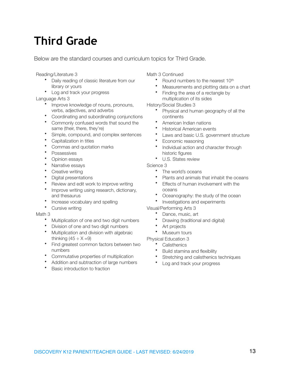# **Third Grade**

Below are the standard courses and curriculum topics for Third Grade.

Reading/Literature 3

- Daily reading of classic literature from our library or yours
- Log and track your progress

Language Arts 3

- Improve knowledge of nouns, pronouns, verbs, adjectives, and adverbs
- Coordinating and subordinating conjunctions
- Commonly confused words that sound the same (their, there, they're)
- Simple, compound, and complex sentences
- Capitalization in titles
- Commas and quotation marks
- **Possessives**
- Opinion essays
- Narrative essays
- Creative writing
- Digital presentations
- Review and edit work to improve writing
- Improve writing using research, dictionary, and thesaurus
- Increase vocabulary and spelling
- Cursive writing

#### Math 3

- Multiplication of one and two digit numbers
- Division of one and two digit numbers
- Multiplication and division with algebraic thinking  $(45 \div X = 9)$
- Find greatest common factors between two numbers
- Commutative properties of multiplication
- Addition and subtraction of large numbers
- Basic introduction to fraction

Math 3 Continued

- Round numbers to the nearest 10th
- Measurements and plotting data on a chart
- Finding the area of a rectangle by multiplication of its sides

History/Social Studies 3

- Physical and human geography of all the continents
- American Indian nations
- Historical American events
- Laws and basic U.S. government structure
- Economic reasoning
- Individual action and character through historic figures
- U.S. States review

### Science 3

- The world's oceans
- Plants and animals that inhabit the oceans
- Effects of human involvement with the oceans
- Oceanography: the study of the ocean
- Investigations and experiments

#### Visual/Performing Arts 3

- Dance, music, art
- Drawing (traditional and digital)
- Art projects
- Museum tours

- **Calisthenics**
- Build stamina and flexibility
- Stretching and calisthenics techniques
- Log and track your progress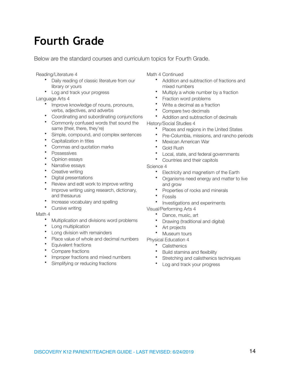# **Fourth Grade**

Below are the standard courses and curriculum topics for Fourth Grade.

Reading/Literature 4

- Daily reading of classic literature from our library or yours
- Log and track your progress

Language Arts 4

- Improve knowledge of nouns, pronouns, verbs, adjectives, and adverbs
- Coordinating and subordinating conjunctions
- Commonly confused words that sound the same (their, there, they're)
- Simple, compound, and complex sentences
- Capitalization in titles
- Commas and quotation marks
- **Possessives**
- Opinion essays
- Narrative essays
- Creative writing
- Digital presentations
- Review and edit work to improve writing
- Improve writing using research, dictionary, and thesaurus
- Increase vocabulary and spelling
- Cursive writing

#### Math 4

- Multiplication and divisions word problems
- Long multiplication
- Long division with remainders
- Place value of whole and decimal numbers
- Equivalent fractions
- Compare fractions
- Improper fractions and mixed numbers
- Simplifying or reducing fractions

Math 4 Continued

- Addition and subtraction of fractions and mixed numbers
- Multiply a whole number by a fraction
- Fraction word problems
- Write a decimal as a fraction
- Compare two decimals
- Addition and subtraction of decimals
- History/Social Studies 4
	- Places and regions in the United States
	- Pre-Columbia, missions, and rancho periods
	- Mexican American War
	- Gold Rush
	- Local, state, and federal governments
	- Countries and their capitols

#### Science 4

- Electricity and magnetism of the Earth
- Organisms need energy and matter to live and grow
- Properties of rocks and minerals
- **Fossils**
- Investigations and experiments

#### Visual/Performing Arts 4

- Dance, music, art
- Drawing (traditional and digital)
- Art projects
- Museum tours

- Calisthenics
- Build stamina and flexibility
- Stretching and calisthenics techniques
- Log and track your progress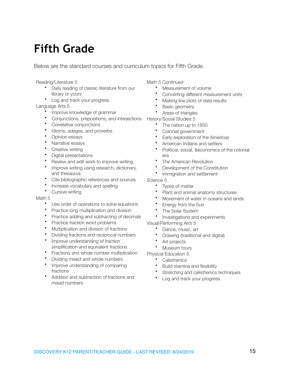# **Fifth Grade**

Below are the standard courses and curriculum topics for Fifth Grade.

Reading/Literature 5

- Daily reading of classic literature from our library or yours
- Log and track your progress

Language Arts 5

- Improve knowledge of grammar
- Conjunctions, prepositions, and interjections
- Correlative conjunctions
- Idioms, adages, and proverbs
- Opinion essays
- Narrative essays
- Creative writing
- Digital presentations
- Review and edit work to improve writing
- Improve writing using research, dictionary, and thesaurus
- Cite bibliographic references and sources
- Increase vocabulary and spelling
- Cursive writing

Math 5

- Use order of operations to solve equations
- Practice long multiplication and division
- Practice adding and subtracting of decimals
- Practice fraction word problems
- Multiplication and division of fractions
- Dividing fractions and reciprocal numbers
- Improve understanding of fraction simplification and equivalent fractions
- Fractions and whole number multiplication
- Dividing mixed and whole numbers
- Improve understanding of comparing fractions
- Addition and subtraction of fractions and mixed numbers

Math 5 Continued

- Measurement of volume
- Converting different measurement units
- Making line plots of data results
- Basic geometry
- Areas of triangles

History/Social Studies 5

- The nation up to 1850
- Colonial government
- Early exploration of the Americas
- American Indians and settlers
- Political, social, &economics of the colonial era
- The American Revolution
- Development of the Constitution
- Immigration and settlement

Science 5

- Types of matter
- Plant and animal anatomy structures
- Movement of water in oceans and lands
- Energy from the Sun
- The Solar System
- Investigations and experiments

Visual/Performing Arts 5

- Dance, music, art
- Drawing (traditional and digital)
- Art projects
- Museum tours

- Calisthenics
- Build stamina and flexibility
- Stretching and calisthenics techniques
- Log and track your progress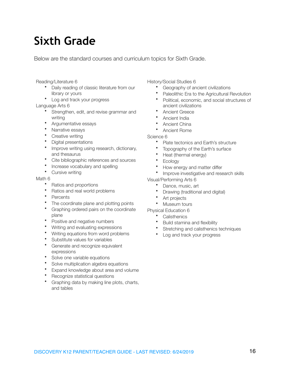# **Sixth Grade**

Below are the standard courses and curriculum topics for Sixth Grade.

Reading/Literature 6

- Daily reading of classic literature from our library or yours
- Log and track your progress

Language Arts 6

- Strengthen, edit, and revise grammar and writing
- Argumentative essays
- Narrative essays
- Creative writing
- Digital presentations
- Improve writing using research, dictionary, and thesaurus
- Cite bibliographic references and sources
- Increase vocabulary and spelling
- Cursive writing

#### Math 6

- Ratios and proportions
- Ratios and real world problems
- **Percents**
- The coordinate plane and plotting points
- Graphing ordered pairs on the coordinate plane
- Positive and negative numbers
- Writing and evaluating expressions
- Writing equations from word problems
- Substitute values for variables
- Generate and recognize equivalent expressions
- Solve one variable equations
- Solve multiplication algebra equations
- Expand knowledge about area and volume
- Recognize statistical questions<br>• Craphing data by making line p
- Graphing data by making line plots, charts, and tables

History/Social Studies 6

- Geography of ancient civilizations
- Paleolithic Era to the Agricultural Revolution
- Political, economic, and social structures of ancient civilizations
- Ancient Greece
- Ancient India
- Ancient China
- Ancient Rome
- Science 6
	- Plate tectonics and Earth's structure
	- Topography of the Earth's surface
	- Heat (thermal energy)
	- **Ecology**
	- How energy and matter differ
	- Improve investigative and research skills
- Visual/Performing Arts 6
	- Dance, music, art
	- Drawing (traditional and digital)
	- Art projects
	- Museum tours
- Physical Education 6
	- **Calisthenics**
	- Build stamina and flexibility
	- Stretching and calisthenics techniques
	- Log and track your progress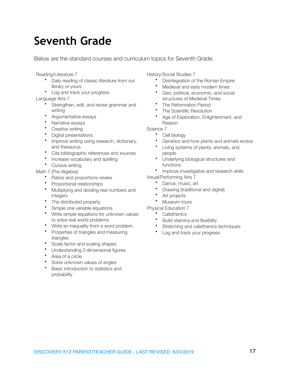# **Seventh Grade**

Below are the standard courses and curriculum topics for Seventh Grade.

Reading/Literature 7

- Daily reading of classic literature from our library or yours
- Log and track your progress

Language Arts 7

- Strengthen, edit, and revise grammar and writing
- Argumentative essays
- Narrative essays
- Creative writing
- Digital presentations
- Improve writing using research, dictionary, and thesaurus
- Cite bibliographic references and sources
- Increase vocabulary and spelling
- Cursive writing

Math 7 (Pre-Algebra)

- Ratios and proportions review
- Proportional relationships
- Multiplying and dividing real numbers and integers
- The distributed property
- Simple one variable equations
- Write simple equations for unknown values to solve real world problems
- Write an inequality from a word problem
- Properties of triangles and measuring triangles
- Scale factor and scaling shapes
- Understanding 3 dimensional figures
- Area of a circle
- Solve unknown values of angles
- Basic introduction to statistics and probability

History/Social Studies 7

- Disintegration of the Roman Empire
- Medieval and early modern times
- Geo, political, economic, and social structures of Medieval Times
- The Reformation Period
- The Scientific Revolution
- Age of Exploration, Enlightenment, and Reason

Science 7

- Cell biology
- Genetics and how plants and animals evolve
- Living systems of plants, animals, and people
- Underlying biological structures and functions
- Improve investigative and research skills
- Visual/Performing Arts 7
	- Dance, music, art
	- Drawing (traditional and digital)
	- Art projects
	- Museum tours

- **Calisthenics**
- Build stamina and flexibility
- Stretching and calisthenics techniques
- Log and track your progress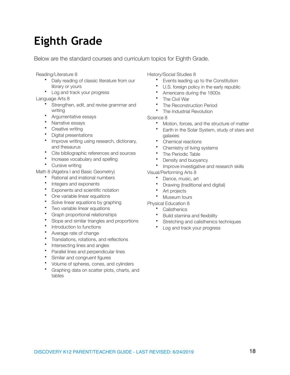# **Eighth Grade**

Below are the standard courses and curriculum topics for Eighth Grade.

Reading/Literature 8

- Daily reading of classic literature from our library or yours
- Log and track your progress

Language Arts 8

- Strengthen, edit, and revise grammar and writing
- Argumentative essays
- Narrative essays
- Creative writing
- Digital presentations
- Improve writing using research, dictionary, and thesaurus
- Cite bibliographic references and sources
- Increase vocabulary and spelling
- Cursive writing

Math 8 (Algebra I and Basic Geometry)

- Rational and irrational numbers
- Integers and exponents
- Exponents and scientific notation
- One variable linear equations
- Solve linear equations by graphing
- Two variable linear equations
- Graph proportional relationships
- Slope and similar triangles and proportions
- Introduction to functions
- Average rate of change
- Translations, rotations, and reflections
- Intersecting lines and angles
- Parallel lines and perpendicular lines
- Similar and congruent figures
- Volume of spheres, cones, and cylinders
- Graphing data on scatter plots, charts, and tables

History/Social Studies 8

- Events leading up to the Constitution
- U.S. foreign policy in the early republic
- Americans during the 1800s
- The Civil War
- The Reconstruction Period
- The Industrial Revolution

Science 8

- Motion, forces, and the structure of matter
- Earth in the Solar System, study of stars and galaxies
- Chemical reactions
- Chemistry of living systems
- The Periodic Table
- Density and buoyancy
- Improve investigative and research skills
- Visual/Performing Arts 8
	- Dance, music, art
	- Drawing (traditional and digital)
	- Art projects
	- Museum tours
- Physical Education 8
	- **Calisthenics** 
		- Build stamina and flexibility
		- Stretching and calisthenics techniques
	- Log and track your progress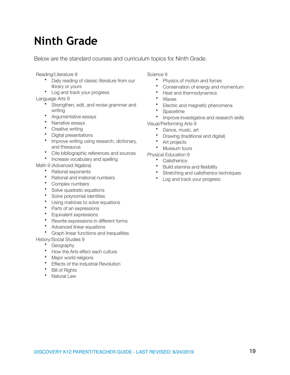# **Ninth Grade**

Below are the standard courses and curriculum topics for Ninth Grade.

Reading/Literature 9

- Daily reading of classic literature from our library or yours
- Log and track your progress

Language Arts 9

- Strengthen, edit, and revise grammar and writing
- Argumentative essays
- Narrative essays
- Creative writing
- Digital presentations
- Improve writing using research, dictionary, and thesaurus
- Cite bibliographic references and sources
- Increase vocabulary and spelling

Math 9 (Advanced Algebra)

- Rational exponents
- Rational and irrational numbers
- Complex numbers
- Solve quadratic equations
- Solve polynomial identities
- Using matrices to solve equations
- Parts of an expressions
- Equivalent expressions
- Rewrite expressions in different forms
- Advanced linear equations
- Graph linear functions and inequalities
- History/Social Studies 9
	- Geography
	- How the Arts effect each culture
	- Major world religions
	- Effects of the Industrial Revolution
	- Bill of Rights
	- Natural Law

#### Science 9

- Physics of motion and forces
- Conservation of energy and momentum
- Heat and thermodynamics
- **Waves**
- Electric and magnetic phenomena
- Spacetime<br>• Improve in
- Improve investigative and research skills Visual/Performing Arts 9
	- Dance, music, art
	- Drawing (traditional and digital)
	- Art projects
	- Museum tours
- Physical Education 9
	- Calisthenics
	- Build stamina and flexibility
	- Stretching and calisthenics techniques
	- Log and track your progress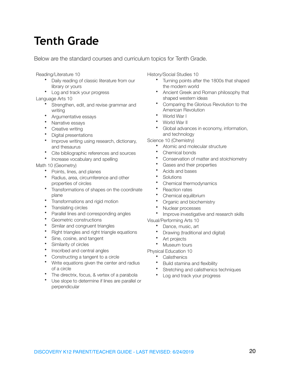# **Tenth Grade**

Below are the standard courses and curriculum topics for Tenth Grade.

Reading/Literature 10

- Daily reading of classic literature from our library or yours
- Log and track your progress

Language Arts 10

- Strengthen, edit, and revise grammar and writing
- Argumentative essays
- Narrative essays
- Creative writing
- Digital presentations
- Improve writing using research, dictionary, and thesaurus
- Cite bibliographic references and sources
- Increase vocabulary and spelling

#### Math 10 (Geometry)

- Points, lines, and planes
- Radius, area, circumference and other properties of circles
- Transformations of shapes on the coordinate plane
- Transformations and rigid motion
- Translating circles
- Parallel lines and corresponding angles
- Geometric constructions
- Similar and congruent triangles
- Right triangles and right triangle equations
- Sine, cosine, and tangent
- Similarity of circles
- Inscribed and central angles
- Constructing a tangent to a circle
- Write equations given the center and radius of a circle
- The directrix, focus, & vertex of a parabola
- Use slope to determine if lines are parallel or perpendicular

History/Social Studies 10

- Turning points after the 1800s that shaped the modern world
- Ancient Greek and Roman philosophy that shaped western ideas
- Comparing the Glorious Revolution to the American Revolution
- World War I
- World War II
- Global advances in economy, information, and technology

Science 10 (Chemistry)

- Atomic and molecular structure
- Chemical bonds
- Conservation of matter and stoichiometry
- Gases and their properties
- Acids and bases
- **Solutions**
- Chemical thermodynamics
- Reaction rates
- Chemical equilibrium
- Organic and biochemistry
- Nuclear processes
- Improve investigative and research skills

Visual/Performing Arts 10

- Dance, music, art
- Drawing (traditional and digital)
- Art projects
- Museum tours
- Physical Education 10
	- Calisthenics
	- Build stamina and flexibility
	- Stretching and calisthenics techniques
	- Log and track your progress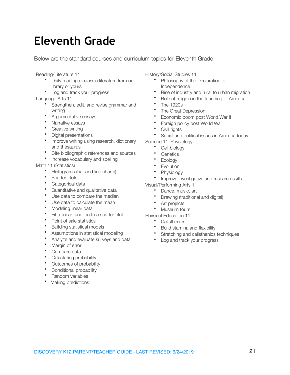# **Eleventh Grade**

Below are the standard courses and curriculum topics for Eleventh Grade.

Reading/Literature 11

- Daily reading of classic literature from our library or yours
- Log and track your progress

Language Arts 11

- Strengthen, edit, and revise grammar and writing
- Argumentative essays
- Narrative essays
- Creative writing
- Digital presentations
- Improve writing using research, dictionary, and thesaurus
- Cite bibliographic references and sources
- Increase vocabulary and spelling

#### Math 11 (Statistics)

- Histograms (bar and line charts)
- Scatter plots
- Categorical data
- Quantitative and qualitative data
- Use data to compare the median
- Use data to calculate the mean
- Modeling linear data
- Fit a linear function to a scatter plot
- Point of sale statistics
- Building statistical models
- Assumptions in statistical modeling
- Analyze and evaluate surveys and data
- Margin of error
- Compare data
- Calculating probability
- Outcomes of probability
- Conditional probability
- Random variables
- Making predictions

History/Social Studies 11

- Philosophy of the Declaration of Independence
- Rise of industry and rural to urban migration
- Role of religion in the founding of America
- The 1920s
- The Great Depression
- Economic boom post World War II
- Foreign policy post World War II
- Civil rights
- Social and political issues in America today Science 11 (Physiology)
	- Cell biology
	- **Genetics**
	- Ecology
	- Evolution
	- **Physiology**
	- Improve investigative and research skills
- Visual/Performing Arts 11
	- Dance, music, art
	- Drawing (traditional and digital)
	- Art projects
	- Museum tours
- Physical Education 11
	- **Calisthenics**
	- Build stamina and flexibility
	- Stretching and calisthenics techniques
	- Log and track your progress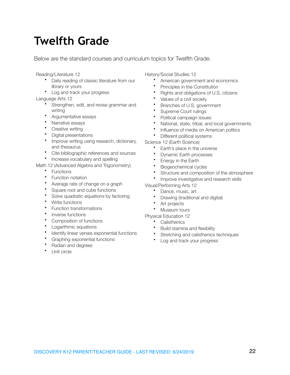# **Twelfth Grade**

Below are the standard courses and curriculum topics for Twelfth Grade.

Reading/Literature 12

- Daily reading of classic literature from our library or yours
- Log and track your progress

Language Arts 12

- Strengthen, edit, and revise grammar and writing
- Argumentative essays
- Narrative essays
- Creative writing
- Digital presentations
- Improve writing using research, dictionary, and thesaurus
- Cite bibliographic references and sources
- Increase vocabulary and spelling

Math 12 (Advanced Algebra and Trigonometry)

- Functions
- Function notation
- Average rate of change on a graph
- Square root and cube functions
- Solve quadratic equations by factoring
- Write functions
- Function transformations
- Inverse functions
- Composition of functions
- Logarithmic equations
- Identify linear verses exponential functions
- Graphing exponential functions

#### • Radian and degrees

Unit circle

History/Social Studies 12

- American government and economics
- Principles in the Constitution
- Rights and obligations of U.S. citizens
- Values of a civil society
- Branches of U.S. government
- Supreme Court rulings
- Political campaign issues
- National, state, tribal, and local governments
- Influence of media on American politics
- Different political systems

Science 12 (Earth Science)

- Earth's place in the universe
- Dynamic Earth processes
- Energy in the Earth
- Biogeochemical cycles
- Structure and composition of the atmosphere
- Improve investigative and research skills

Visual/Performing Arts 12

- Dance, music, art
- Drawing (traditional and digital)
- Art projects
- Museum tours
- Physical Education 12
	- Calisthenics
	- Build stamina and flexibility
	- Stretching and calisthenics techniques
	- Log and track your progress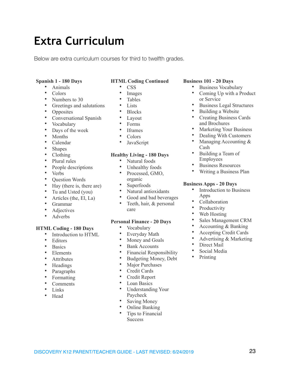# **Extra Curriculum**

Below are extra curriculum courses for third to twelfth grades.

#### **Spanish 1 - 180 Days**

- Animals
- Colors
- Numbers to 30
- Greetings and salutations
- **Opposites**
- Conversational Spanish
- Vocabulary
- Days of the week
- Months
- Calendar
- Shapes
- Clothing
- Plural rules
- People descriptions
- Verbs
- Question Words
- Hay (there is, there are)
- Tu and Usted (you)
- Articles (the, El, La)
- Grammar
- **Adjectives**
- Adverbs

#### **HTML Coding - 180 Days**

- Introduction to HTML
- Editors
- **Basics**
- Elements
- **Attributes**
- Headings
- Paragraphs
- **Formatting**
- Comments
- Links
- Head

### **HTML Coding Continued**

- CSS
- **Images**
- **Tables**
- Lists
- Blocks
- Layout
- Forms
- Iframes
- Colors
- JavaScript

#### **Healthy Living - 180 Days**

- Natural foods
- Unhealthy foods
- Processed, GMO, organic
- Superfoods
- Natural antioxidants
- Good and bad beverages
- Teeth, hair, & personal care

#### **Personal Finance - 20 Days**

- Vocabulary
- Everyday Math<br>• Money and Goa
- Money and Goals
- Bank Accounts
- Financial Responsibility
- Budgeting Money, Debt
- Major Purchases
- Credit Cards
- Credit Report
- Loan Basics
- Understanding Your Paycheck
- Saving Money
- Online Banking
- Tips to Financial **Success**

#### **Business 101 - 20 Days**

- Business Vocabulary
- Coming Up with a Product or Service
- Business Legal Structures
- Building a Website
- Creating Business Cards and Brochures
- Marketing Your Business
- Dealing With Customers
- Managing Accounting & Cash
- Building a Team of Employees
- **Business Resources**
- Writing a Business Plan

#### **Business Apps - 20 Days**

- Introduction to Business Apps
- Collaboration
- **Productivity**
- Web Hosting
- Sales Management CRM
- Accounting & Banking
- Accepting Credit Cards
- Advertising & Marketing
- Direct Mail
- Social Media
- Printing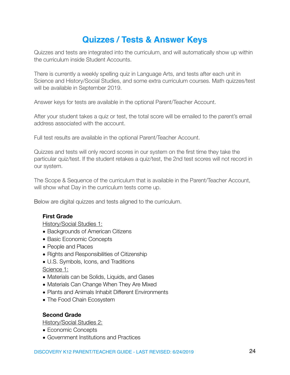# <span id="page-23-0"></span>**Quizzes / Tests & Answer Keys**

Quizzes and tests are integrated into the curriculum, and will automatically show up within the curriculum inside Student Accounts.

There is currently a weekly spelling quiz in Language Arts, and tests after each unit in Science and History/Social Studies, and some extra curriculum courses. Math quizzes/test will be available in September 2019.

Answer keys for tests are available in the optional Parent/Teacher Account.

After your student takes a quiz or test, the total score will be emailed to the parent's email address associated with the account.

Full test results are available in the optional Parent/Teacher Account.

Quizzes and tests will only record scores in our system on the first time they take the particular quiz/test. If the student retakes a quiz/test, the 2nd test scores will not record in our system.

The Scope & Sequence of the curriculum that is available in the Parent/Teacher Account, will show what Day in the curriculum tests come up.

Below are digital quizzes and tests aligned to the curriculum.

# **First Grade**

History/Social Studies 1:

- Backgrounds of American Citizens
- Basic Economic Concepts
- People and Places
- Rights and Responsibilities of Citizenship
- U.S. Symbols, Icons, and Traditions

Science 1:

- Materials can be Solids, Liquids, and Gases
- Materials Can Change When They Are Mixed
- Plants and Animals Inhabit Different Environments
- The Food Chain Ecosystem

## **Second Grade**

History/Social Studies 2:

- Economic Concepts
- Government Institutions and Practices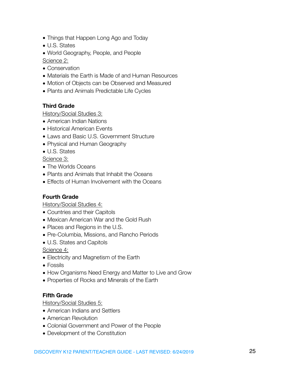- Things that Happen Long Ago and Today
- U.S. States
- World Geography, People, and People

Science 2:

- Conservation
- Materials the Earth is Made of and Human Resources
- Motion of Objects can be Observed and Measured
- Plants and Animals Predictable Life Cycles

# **Third Grade**

History/Social Studies 3:

- American Indian Nations
- Historical American Events
- Laws and Basic U.S. Government Structure
- Physical and Human Geography
- U.S. States

Science 3:

- The Worlds Oceans
- Plants and Animals that Inhabit the Oceans
- Effects of Human Involvement with the Oceans

# **Fourth Grade**

History/Social Studies 4:

- Countries and their Capitols
- Mexican American War and the Gold Rush
- Places and Regions in the U.S.
- Pre-Columbia, Missions, and Rancho Periods
- U.S. States and Capitols

Science 4:

- Electricity and Magnetism of the Earth
- Fossils
- How Organisms Need Energy and Matter to Live and Grow
- Properties of Rocks and Minerals of the Earth

# **Fifth Grade**

History/Social Studies 5:

- American Indians and Settlers
- American Revolution
- Colonial Government and Power of the People
- Development of the Constitution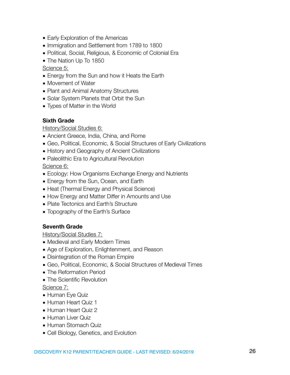- Early Exploration of the Americas
- Immigration and Settlement from 1789 to 1800
- Political, Social, Religious, & Economic of Colonial Era
- The Nation Up To 1850

## Science 5:

- Energy from the Sun and how it Heats the Earth
- Movement of Water
- Plant and Animal Anatomy Structures
- Solar System Planets that Orbit the Sun
- Types of Matter in the World

# **Sixth Grade**

## History/Social Studies 6:

- Ancient Greece, India, China, and Rome
- Geo, Political, Economic, & Social Structures of Early Civilizations
- History and Geography of Ancient Civilizations
- Paleolithic Era to Agricultural Revolution

Science 6:

- Ecology: How Organisms Exchange Energy and Nutrients
- Energy from the Sun, Ocean, and Earth
- Heat (Thermal Energy and Physical Science)
- How Energy and Matter Differ in Amounts and Use
- Plate Tectonics and Earth's Structure
- Topography of the Earth's Surface

## **Seventh Grade**

History/Social Studies 7:

- Medieval and Early Modern Times
- Age of Exploration, Enlightenment, and Reason
- Disintegration of the Roman Empire
- Geo, Political, Economic, & Social Structures of Medieval Times
- The Reformation Period
- The Scientific Revolution

Science 7:

- Human Eye Quiz
- Human Heart Quiz 1
- Human Heart Quiz 2
- Human Liver Quiz
- Human Stomach Quiz
- Cell Biology, Genetics, and Evolution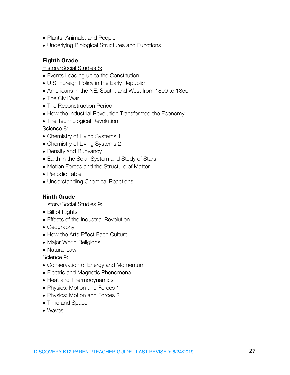- Plants, Animals, and People
- Underlying Biological Structures and Functions

# **Eighth Grade**

History/Social Studies 8:

- Events Leading up to the Constitution
- U.S. Foreign Policy in the Early Republic
- Americans in the NE, South, and West from 1800 to 1850
- The Civil War
- The Reconstruction Period
- How the Industrial Revolution Transformed the Economy
- The Technological Revolution

Science 8:

- Chemistry of Living Systems 1
- Chemistry of Living Systems 2
- Density and Buoyancy
- Earth in the Solar System and Study of Stars
- Motion Forces and the Structure of Matter
- Periodic Table
- Understanding Chemical Reactions

## **Ninth Grade**

History/Social Studies 9:

- Bill of Rights
- Effects of the Industrial Revolution
- Geography
- How the Arts Effect Each Culture
- Major World Religions
- Natural Law

Science 9:

- Conservation of Energy and Momentum
- Electric and Magnetic Phenomena
- Heat and Thermodynamics
- Physics: Motion and Forces 1
- Physics: Motion and Forces 2
- Time and Space
- Waves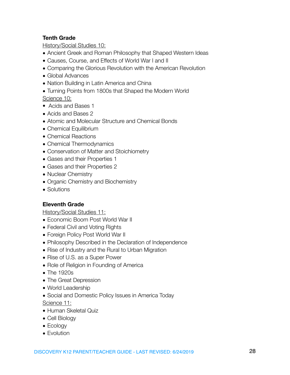# **Tenth Grade**

History/Social Studies 10:

- Ancient Greek and Roman Philosophy that Shaped Western Ideas
- Causes, Course, and Effects of World War I and II
- Comparing the Glorious Revolution with the American Revolution
- Global Advances
- Nation Building in Latin America and China
- Turning Points from 1800s that Shaped the Modern World

Science 10:

- Acids and Bases 1
- Acids and Bases 2
- Atomic and Molecular Structure and Chemical Bonds
- Chemical Equilibrium
- Chemical Reactions
- Chemical Thermodynamics
- Conservation of Matter and Stoichiometry
- Gases and their Properties 1
- Gases and their Properties 2
- Nuclear Chemistry
- Organic Chemistry and Biochemistry
- Solutions

# **Eleventh Grade**

History/Social Studies 11:

- Economic Boom Post World War II
- Federal Civil and Voting Rights
- Foreign Policy Post World War II
- Philosophy Described in the Declaration of Independence
- Rise of Industry and the Rural to Urban Migration
- Rise of U.S. as a Super Power
- Role of Religion in Founding of America
- The 1920s
- The Great Depression
- World Leadership
- Social and Domestic Policy Issues in America Today

Science 11:

- Human Skeletal Quiz
- Cell Biology
- Ecology
- Evolution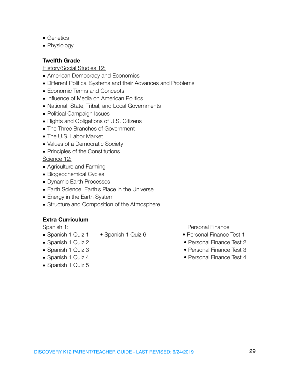- Genetics
- Physiology

# **Twelfth Grade**

History/Social Studies 12:

- American Democracy and Economics
- Different Political Systems and their Advances and Problems
- Economic Terms and Concepts
- Influence of Media on American Politics
- National, State, Tribal, and Local Governments
- Political Campaign Issues
- Rights and Obligations of U.S. Citizens
- The Three Branches of Government
- The U.S. Labor Market
- Values of a Democratic Society
- Principles of the Constitutions

Science 12:

- Agriculture and Farming
- Biogeochemical Cycles
- Dynamic Earth Processes
- Earth Science: Earth's Place in the Universe
- Energy in the Earth System
- Structure and Composition of the Atmosphere

# **Extra Curriculum**

- 
- 
- 
- 
- Spanish 1 Quiz 5

Spanish 1: **Spanish 1: Spanish 1: Personal Finance** 

- Spanish 1 Quiz 1 Spanish 1 Quiz 6 Personal Finance Test 1
- Spanish 1 Quiz 2 Personal Finance Test 2
- Spanish 1 Quiz 3 Personal Finance Test 3
- Spanish 1 Quiz 4 Personal Finance Test 4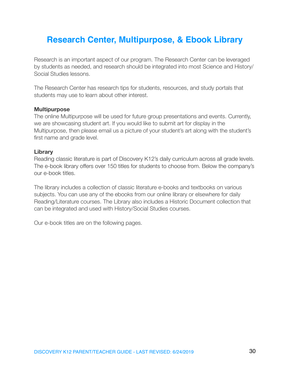# <span id="page-29-0"></span>**Research Center, Multipurpose, & Ebook Library**

Research is an important aspect of our program. The Research Center can be leveraged by students as needed, and research should be integrated into most Science and History/ Social Studies lessons.

The Research Center has research tips for students, resources, and study portals that students may use to learn about other interest.

### **Multipurpose**

The online Multipurpose will be used for future group presentations and events. Currently, we are showcasing student art. If you would like to submit art for display in the Multipurpose, then please email us a picture of your student's art along with the student's first name and grade level.

### **Library**

Reading classic literature is part of Discovery K12's daily curriculum across all grade levels. The e-book library offers over 150 titles for students to choose from. Below the company's our e-book titles.

The library includes a collection of classic literature e-books and textbooks on various subjects. You can use any of the ebooks from our online library or elsewhere for daily Reading/Literature courses. The Library also includes a Historic Document collection that can be integrated and used with History/Social Studies courses.

Our e-book titles are on the following pages.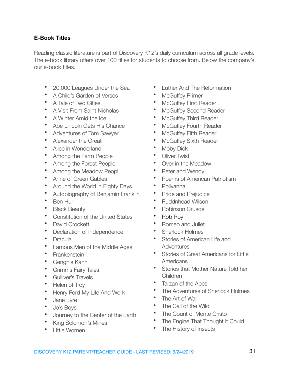# **E-Book Titles**

Reading classic literature is part of Discovery K12's daily curriculum across all grade levels. The e-book library offers over 100 titles for students to choose from. Below the company's our e-book titles.

- 20,000 Leagues Under the Sea
- A Child's Garden of Verses
- A Tale of Two Cities
- A Visit From Saint Nicholas
- A Winter Amid the Ice
- Abe Lincoln Gets His Chance
- Adventures of Tom Sawyer
- Alexander the Great
- Alice in Wonderland
- Among the Farm People
- Among the Forest People
- Among the Meadow Peopl
- Anne of Green Gables
- Around the World in Eighty Days
- Autobiography of Benjamin Franklin
- Ben Hur
- **Black Beauty**
- Constitution of the United States
- David Crockett
- Declaration of Independence
- **Dracula**
- Famous Men of the Middle Ages
- **Frankenstein**
- Genghis Kahn
- Grimms Fairy Tales
- Gulliver's Travels
- Helen of Troy
- Henry Ford My Life And Work
- Jane Eyre
- Jo's Boys
- Journey to the Center of the Earth
- King Solomon's Mines
- Little Women
- Luther And The Reformation
- **McGuffey Primer**
- McGuffey First Reader
- **McGuffey Second Reader**
- McGuffey Third Reader
- **McGuffey Fourth Reader**
- McGuffey Fifth Reader
- **McGuffey Sixth Reader**
- Moby Dick
- **Oliver Twist**
- Over in the Meadow
- Peter and Wendy
- Poems of American Patriotism
- Pollyanna
- Pride and Prejudice
- Puddnhead Wilson
- Robinson Crusoe
- Rob Roy
- Romeo and Juliet
- Sherlock Holmes
- Stories of American Life and **Adventures**
- Stories of Great Americans for Little Americans
- Stories that Mother Nature Told her Children
- Tarzan of the Apes
- The Adventures of Sherlock Holmes
- The Art of War
- The Call of the Wild
- The Count of Monte Cristo
- The Engine That Thought it Could
- The History of Insects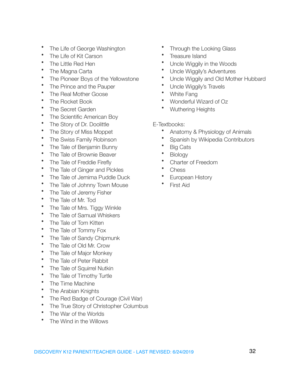- The Life of George Washington
- The Life of Kit Carson
- The Little Red Hen
- The Magna Carta
- The Pioneer Boys of the Yellowstone
- The Prince and the Pauper
- The Real Mother Goose
- The Rocket Book
- The Secret Garden
- The Scientific American Boy
- The Story of Dr. Doolittle
- The Story of Miss Moppet
- The Swiss Family Robinson
- The Tale of Benjamin Bunny
- The Tale of Brownie Beaver
- The Tale of Freddie Firefly
- The Tale of Ginger and Pickles
- The Tale of Jemima Puddle Duck
- The Tale of Johnny Town Mouse
- The Tale of Jeremy Fisher
- The Tale of Mr. Tod
- The Tale of Mrs. Tiggy Winkle
- The Tale of Samual Whiskers
- The Tale of Tom Kitten
- The Tale of Tommy Fox
- The Tale of Sandy Chipmunk
- The Tale of Old Mr. Crow
- The Tale of Major Monkey
- The Tale of Peter Rabbit
- The Tale of Squirrel Nutkin
- The Tale of Timothy Turtle
- The Time Machine
- The Arabian Knights
- The Red Badge of Courage (Civil War)
- The True Story of Christopher Columbus
- The War of the Worlds
- The Wind in the Willows
- Through the Looking Glass
- Treasure Island
- Uncle Wiggily in the Woods
- Uncle Wiggily's Adventures
- Uncle Wiggily and Old Mother Hubbard
- Uncle Wiggily's Travels
- White Fang
- Wonderful Wizard of Oz
- Wuthering Heights
- E-Textbooks:
	- Anatomy & Physiology of Animals
	- Spanish by Wikipedia Contributors
	- Big Cats
	- Biology
	- Charter of Freedom
	- **Chess**
	- European History
	- **First Aid**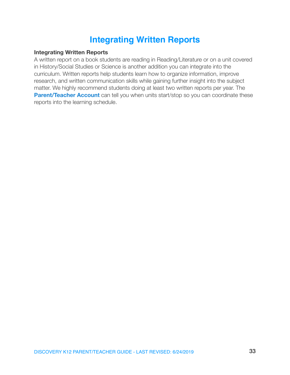# <span id="page-32-0"></span>**Integrating Written Reports**

## **Integrating Written Reports**

A written report on a book students are reading in Reading/Literature or on a unit covered in History/Social Studies or Science is another addition you can integrate into the curriculum. Written reports help students learn how to organize information, improve research, and written communication skills while gaining further insight into the subject matter. We highly recommend students doing at least two written reports per year. The **[Parent/Teacher Account](http://discoveryk12.com/dk12/parentteacher-account/)** can tell you when units start/stop so you can coordinate these reports into the learning schedule.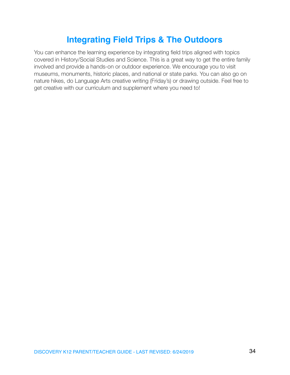# <span id="page-33-0"></span>**Integrating Field Trips & The Outdoors**

You can enhance the learning experience by integrating field trips aligned with topics covered in History/Social Studies and Science. This is a great way to get the entire family involved and provide a hands-on or outdoor experience. We encourage you to visit museums, monuments, historic places, and national or state parks. You can also go on nature hikes, do Language Arts creative writing (Friday's) or drawing outside. Feel free to get creative with our curriculum and supplement where you need to!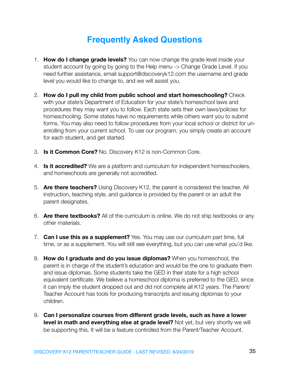# <span id="page-34-0"></span>**Frequently Asked Questions**

- 1. **How do I change grade levels?** You can now change the grade level inside your student account by going by going to the Help menu -> Change Grade Level. If you need further assistance, email support@discoveryk12.com the username and grade level you would like to change to, and we will assist you.
- 2. **How do I pull my child from public school and start homeschooling?** Check with your state's Department of Education for your state's homeschool laws and procedures they may want you to follow. Each state sets their own laws/policies for homeschooling. Some states have no requirements while others want you to submit forms. You may also need to follow procedures from your local school or district for unenrolling from your current school. To use our program, you simply create an account for each student, and get started.
- 3. **Is it Common Core?** No. Discovery K12 is non-Common Core.
- 4. **Is it accredited?** We are a platform and curriculum for independent homeschoolers, and homeschools are generally not accredited.
- 5. **Are there teachers?** Using Discovery K12, the parent is considered the teacher. All instruction, teaching style, and guidance is provided by the parent or an adult the parent designates.
- 6. **Are there textbooks?** All of the curriculum is online. We do not ship textbooks or any other materials.
- 7. **Can I use this as a supplement?** Yes. You may use our curriculum part time, full time, or as a supplement. You will still see everything, but you can use what you'd like.
- 8. **How do I graduate and do you issue diplomas?** When you homeschool, the parent is in charge of the student's education and would be the one to graduate them and issue diplomas. Some students take the GED in their state for a high school equivalent certificate. We believe a homeschool diploma is preferred to the GED, since it can imply the student dropped out and did not complete all K12 years. The Parent/ Teacher Account has tools for producing transcripts and issuing diplomas to your children.
- 9. **Can I personalize courses from different grade levels, such as have a lower level in math and everything else at grade level?** Not yet, but very shortly we will be supporting this. It will be a feature controlled from the Parent/Teacher Account.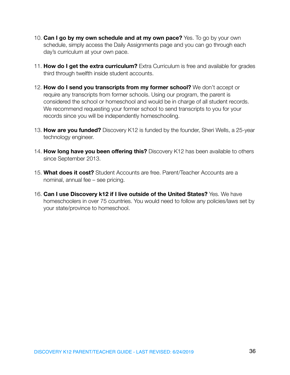- 10. **Can I go by my own schedule and at my own pace?** Yes. To go by your own schedule, simply access the Daily Assignments page and you can go through each day's curriculum at your own pace.
- 11. **How do I get the extra curriculum?** Extra Curriculum is free and available for grades third through twelfth inside student accounts.
- 12. **How do I send you transcripts from my former school?** We don't accept or require any transcripts from former schools. Using our program, the parent is considered the school or homeschool and would be in charge of all student records. We recommend requesting your former school to send transcripts to you for your records since you will be independently homeschooling.
- 13. **How are you funded?** Discovery K12 is funded by the founder, Sheri Wells, a 25-year technology engineer.
- 14. **How long have you been offering this?** Discovery K12 has been available to others since September 2013.
- 15. **What does it cost?** Student Accounts are free. Parent/Teacher Accounts are a nominal, annual fee – see pricing.
- 16. **Can I use Discovery k12 if I live outside of the United States?** Yes. We have homeschoolers in over 75 countries. You would need to follow any policies/laws set by your state/province to homeschool.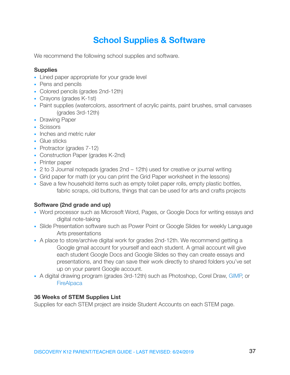# **School Supplies & Software**

We recommend the following school supplies and software.

# **Supplies**

- Lined paper appropriate for your grade level
- Pens and pencils
- Colored pencils (grades 2nd-12th)
- Crayons (grades K-1st)
- Paint supplies (watercolors, assortment of acrylic paints, paint brushes, small canvases (grades 3rd-12th)
- Drawing Paper
- Scissors
- Inches and metric ruler
- Glue sticks
- Protractor (grades 7-12)
- Construction Paper (grades K-2nd)
- Printer paper
- 2 to 3 Journal notepads (grades 2nd 12th) used for creative or journal writing
- Grid paper for math (or you can print the Grid Paper worksheet in the lessons)
- Save a few household items such as empty toilet paper rolls, empty plastic bottles, fabric scraps, old buttons, things that can be used for arts and crafts projects

# **Software (2nd grade and up)**

- Word processor such as Microsoft Word, Pages, or Google Docs for writing essays and digital note-taking
- Slide Presentation software such as Power Point or Google Slides for weekly Language Arts presentations
- A place to store/archive digital work for grades 2nd-12th. We recommend getting a Google gmail account for yourself and each student. A gmail account will give each student Google Docs and Google Slides so they can create essays and presentations, and they can save their work directly to shared folders you've set up on your parent Google account.
- A digital drawing program (grades 3rd-12th) such as Photoshop, Corel Draw, [GIMP,](http://gimp.org/) or **[FireAlpaca](http://firealpaca.com/en)**

# **36 Weeks of STEM Supplies List**

Supplies for each STEM project are inside Student Accounts on each STEM page.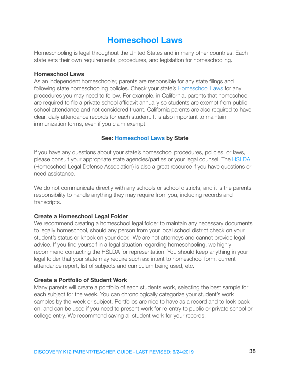# <span id="page-37-0"></span>**Homeschool Laws**

Homeschooling is legal throughout the United States and in many other countries. Each state sets their own requirements, procedures, and legislation for homeschooling.

### **Homeschool Laws**

As an independent homeschooler, parents are responsible for any state filings and following state homeschooling policies. Check your state's [Homeschool Laws](http://discoveryk12.com/dk12/homeschool-laws/) for any procedures you may need to follow. For example, in California, parents that homeschool are required to file a private school affidavit annually so students are exempt from public school attendance and not considered truant. California parents are also required to have clear, daily attendance records for each student. It is also important to maintain immunization forms, even if you claim exempt.

## **See: [Homeschool Laws](http://discoveryk12.com/dk12/homeschool-laws/) by State**

If you have any questions about your state's homeschool procedures, policies, or laws, please consult your appropriate state agencies/parties or your legal counsel. The [HSLDA](https://www.hslda.org) (Homeschool Legal Defense Association) is also a great resource if you have questions or need assistance.

We do not communicate directly with any schools or school districts, and it is the parents responsibility to handle anything they may require from you, including records and transcripts.

## **Create a Homeschool Legal Folder**

We recommend creating a homeschool legal folder to maintain any necessary documents to legally homeschool, should any person from your local school district check on your student's status or knock on your door. We are not attorneys and cannot provide legal advice. If you find yourself in a legal situation regarding homeschooling, we highly recommend contacting the HSLDA for representation. You should keep anything in your legal folder that your state may require such as: intent to homeschool form, current attendance report, list of subjects and curriculum being used, etc.

## **Create a Portfolio of Student Work**

Many parents will create a portfolio of each students work, selecting the best sample for each subject for the week. You can chronologically categorize your student's work samples by the week or subject. Portfolios are nice to have as a record and to look back on, and can be used if you need to present work for re-entry to public or private school or college entry. We recommend saving all student work for your records.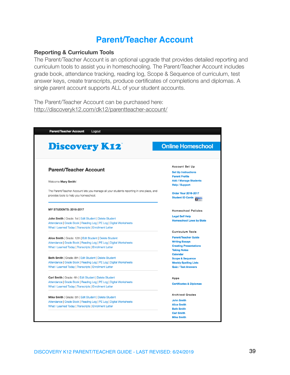# <span id="page-38-0"></span>**Parent/Teacher Account**

### **Reporting & Curriculum Tools**

The Parent/Teacher Account is an optional upgrade that provides detailed reporting and curriculum tools to assist you in homeschooling. The Parent/Teacher Account includes grade book, attendance tracking, reading log, Scope & Sequence of curriculum, test answer keys, create transcripts, produce certificates of completions and diplomas. A single parent account supports ALL of your student accounts.

The Parent/Teacher Account can be purchased here: <http://discoveryk12.com/dk12/parentteacher-account/>